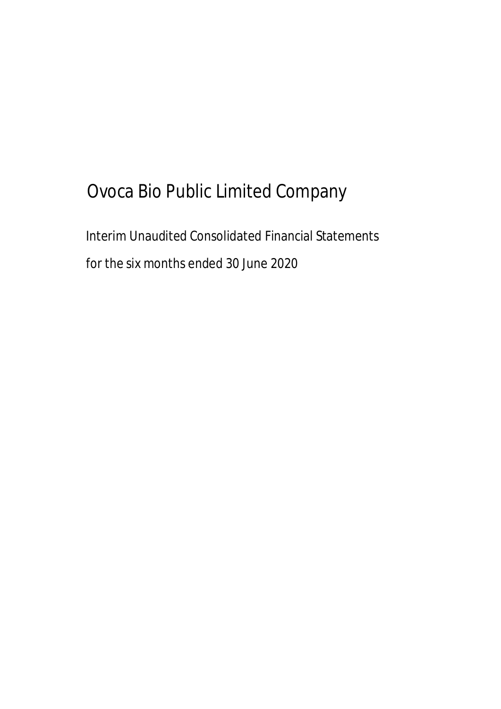# Ovoca Bio Public Limited Company

Interim Unaudited Consolidated Financial Statements for the six months ended 30 June 2020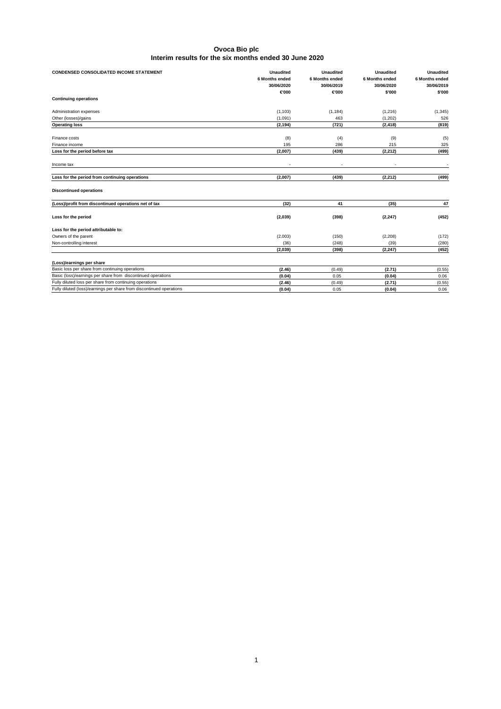| <b>CONDENSED CONSOLIDATED INCOME STATEMENT</b>                       | <b>Unaudited</b><br>6 Months ended<br>30/06/2020<br>€000 | <b>Unaudited</b><br>6 Months ended<br>30/06/2019<br>€000 | <b>Unaudited</b><br>6 Months ended<br>30/06/2020<br>\$'000 | <b>Unaudited</b><br>6 Months ended<br>30/06/2019<br>\$'000 |
|----------------------------------------------------------------------|----------------------------------------------------------|----------------------------------------------------------|------------------------------------------------------------|------------------------------------------------------------|
| <b>Continuing operations</b>                                         |                                                          |                                                          |                                                            |                                                            |
| Administration expenses                                              | (1, 103)                                                 | (1, 184)                                                 | (1, 216)                                                   | (1, 345)                                                   |
| Other (losses)/gains                                                 | (1,091)                                                  | 463                                                      | (1, 202)                                                   | 526                                                        |
| <b>Operating loss</b>                                                | (2, 194)                                                 | (721)                                                    | (2, 418)                                                   | (819)                                                      |
| Finance costs                                                        | (8)                                                      | (4)                                                      | (9)                                                        | (5)                                                        |
| Finance income                                                       | 195                                                      | 286                                                      | 215                                                        | 325                                                        |
| Loss for the period before tax                                       | (2,007)                                                  | (439)                                                    | (2, 212)                                                   | (499)                                                      |
| Income tax                                                           |                                                          |                                                          |                                                            |                                                            |
| Loss for the period from continuing operations                       | (2,007)                                                  | (439)                                                    | (2, 212)                                                   | (499)                                                      |
| <b>Discontinued operations</b>                                       |                                                          |                                                          |                                                            |                                                            |
| (Loss)/profit from discontinued operations net of tax                | (32)                                                     | 41                                                       | (35)                                                       | 47                                                         |
| Loss for the period                                                  | (2,039)                                                  | (398)                                                    | (2, 247)                                                   | (452)                                                      |
| Loss for the period attributable to:                                 |                                                          |                                                          |                                                            |                                                            |
| Owners of the parent                                                 | (2,003)                                                  | (150)                                                    | (2, 208)                                                   | (172)                                                      |
| Non-controlling interest                                             | (36)                                                     | (248)                                                    | (39)                                                       | (280)                                                      |
|                                                                      | (2,039)                                                  | (398)                                                    | (2, 247)                                                   | (452)                                                      |
| (Loss)/earnings per share                                            |                                                          |                                                          |                                                            |                                                            |
| Basic loss per share from continuing operations                      | (2.46)                                                   | (0.49)                                                   | (2.71)                                                     | (0.55)                                                     |
| Basic (loss)/earnings per share from discontinued operations         | (0.04)                                                   | 0.05                                                     | (0.04)                                                     | 0.06                                                       |
| Fully diluted loss per share from continuing operations              | (2.46)                                                   | (0.49)                                                   | (2.71)                                                     | (0.55)                                                     |
| Fully diluted (loss)/earnings per share from discontinued operations | (0.04)                                                   | 0.05                                                     | (0.04)                                                     | 0.06                                                       |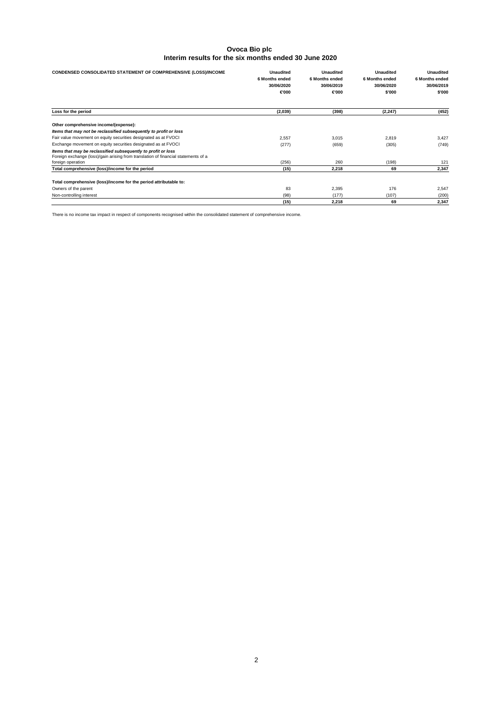| CONDENSED CONSOLIDATED STATEMENT OF COMPREHENSIVE (LOSS)/INCOME                                                                                     | <b>Unaudited</b><br><b>6 Months ended</b><br>30/06/2020<br>€000 | <b>Unaudited</b><br>6 Months ended<br>30/06/2019<br>€000 | <b>Unaudited</b><br><b>6 Months ended</b><br>30/06/2020<br>\$'000 | <b>Unaudited</b><br><b>6 Months ended</b><br>30/06/2019<br>\$'000 |
|-----------------------------------------------------------------------------------------------------------------------------------------------------|-----------------------------------------------------------------|----------------------------------------------------------|-------------------------------------------------------------------|-------------------------------------------------------------------|
| Loss for the period                                                                                                                                 | (2,039)                                                         | (398)                                                    | (2, 247)                                                          | (452)                                                             |
| Other comprehensive income/(expense):                                                                                                               |                                                                 |                                                          |                                                                   |                                                                   |
| Items that may not be reclassified subsequently to profit or loss                                                                                   |                                                                 |                                                          |                                                                   |                                                                   |
| Fair value movement on equity securities designated as at FVOCI                                                                                     | 2.557                                                           | 3,015                                                    | 2,819                                                             | 3,427                                                             |
| Exchange movement on equity securities designated as at FVOCI                                                                                       | (277)                                                           | (659)                                                    | (305)                                                             | (749)                                                             |
| Items that may be reclassified subsequently to profit or loss<br>Foreign exchange (loss)/gain arising from translation of financial statements of a |                                                                 |                                                          |                                                                   |                                                                   |
| foreign operation                                                                                                                                   | (256)                                                           | 260                                                      | (198)                                                             | 121                                                               |
| Total comprehensive (loss)/income for the period                                                                                                    | (15)                                                            | 2,218                                                    | 69                                                                | 2,347                                                             |
| Total comprehensive (loss)/income for the period attributable to:                                                                                   |                                                                 |                                                          |                                                                   |                                                                   |
| Owners of the parent                                                                                                                                | 83                                                              | 2,395                                                    | 176                                                               | 2,547                                                             |
| Non-controlling interest                                                                                                                            | (98)                                                            | (177)                                                    | (107)                                                             | (200)                                                             |
|                                                                                                                                                     | (15)                                                            | 2,218                                                    | 69                                                                | 2,347                                                             |

There is no income tax impact in respect of components recognised within the consolidated statement of comprehensive income.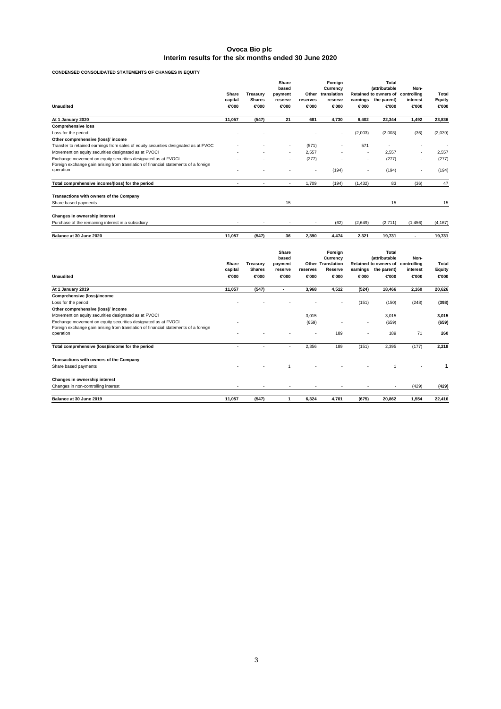**CONDENSED CONSOLIDATED STATEMENTS OF CHANGES IN EQUITY**

|                                                                                     | Share<br>capital | Treasury<br><b>Shares</b> | Share<br>based<br>payment<br>reserve | Other<br>reserves        | Foreign<br>Currency<br>translation<br>reserve | earnings | Total<br><i>(attributable)</i><br><b>Retained to owners of</b><br>the parent) | Non-<br>controlling<br>interest | Total<br>Equity          |
|-------------------------------------------------------------------------------------|------------------|---------------------------|--------------------------------------|--------------------------|-----------------------------------------------|----------|-------------------------------------------------------------------------------|---------------------------------|--------------------------|
| <b>Unaudited</b>                                                                    | €000             | €000                      | €000                                 | €000                     | €000                                          | €000     | €000                                                                          | €000                            | €000                     |
| At 1 January 2020                                                                   | 11.057           | (547)                     | 21                                   | 681                      | 4.730                                         | 6,402    | 22,344                                                                        | 1,492                           | 23,836                   |
| <b>Comprehensive loss</b>                                                           |                  |                           |                                      |                          |                                               |          |                                                                               |                                 |                          |
| Loss for the period                                                                 |                  |                           |                                      |                          | $\overline{\phantom{a}}$                      | (2,003)  | (2,003)                                                                       | (36)                            | (2,039)                  |
| Other comprehensive (loss)/ income                                                  |                  |                           |                                      |                          |                                               |          |                                                                               |                                 |                          |
| Transfer to retained earnings from sales of equity securities designated as at FVOC |                  |                           | ۰                                    | (571)                    |                                               | 571      | ٠                                                                             |                                 | $\overline{\phantom{a}}$ |
| Movement on equity securities designated as at FVOCI                                |                  | ۰                         | $\sim$                               | 2.557                    |                                               | ٠        | 2.557                                                                         |                                 | 2,557                    |
| Exchange movement on equity securities designated as at FVOCI                       |                  |                           |                                      | (277)                    |                                               | ٠        | (277)                                                                         | ٠                               | (277)                    |
| Foreign exchange gain arising from translation of financial statements of a foreign |                  |                           |                                      |                          |                                               |          |                                                                               |                                 |                          |
| operation                                                                           |                  |                           |                                      | $\overline{\phantom{a}}$ | (194)                                         | ٠        | (194)                                                                         | ٠                               | (194)                    |
| Total comprehensive income/(loss) for the period                                    |                  | $\overline{\phantom{a}}$  | $\overline{\phantom{a}}$             | 1,709                    | (194)                                         | (1, 432) | 83                                                                            | (36)                            | 47                       |
| Transactions with owners of the Company                                             |                  |                           |                                      |                          |                                               |          |                                                                               |                                 |                          |
| Share based payments                                                                | ×.               | ٠                         | 15                                   |                          |                                               | $\sim$   | 15                                                                            | $\sim$                          | 15                       |
| Changes in ownership interest                                                       |                  |                           |                                      |                          |                                               |          |                                                                               |                                 |                          |
| Purchase of the remaining interest in a subsidiary                                  | $\sim$           | ٠                         | ٠                                    | ٠                        | (62)                                          | (2,649)  | (2,711)                                                                       | (1, 456)                        | (4, 167)                 |
| Balance at 30 June 2020                                                             | 11,057           | (547)                     | 36                                   | 2,390                    | 4,474                                         | 2,321    | 19,731                                                                        | $\blacksquare$                  | 19,731                   |

|                                                                                     | <b>Share</b> |               | Share<br>based<br>Treasurv<br>payment |                          |         | Foreign<br>Currency<br><b>Other Translation</b> |             | <b>Total</b><br>(attributable<br><b>Retained to owners of</b> | Non-<br>controlling | <b>Total</b> |
|-------------------------------------------------------------------------------------|--------------|---------------|---------------------------------------|--------------------------|---------|-------------------------------------------------|-------------|---------------------------------------------------------------|---------------------|--------------|
|                                                                                     | capital      | <b>Shares</b> | reserve                               | reserves                 | Reserve | earnings                                        | the parent) | interest                                                      | Equity              |              |
| <b>Unaudited</b>                                                                    | €000         | €000          | €000                                  | €000                     | €000    | €000                                            | €000        | €000                                                          | €000                |              |
| At 1 January 2019                                                                   | 11,057       | (547)         | ٠                                     | 3,968                    | 4,512   | (524)                                           | 18,466      | 2,160                                                         | 20,626              |              |
| Comprehensive (loss)/income                                                         |              |               |                                       |                          |         |                                                 |             |                                                               |                     |              |
| Loss for the period                                                                 |              |               |                                       |                          | ٠       | (151)                                           | (150)       | (248)                                                         | (398)               |              |
| Other comprehensive (loss)/ income                                                  |              |               |                                       |                          |         |                                                 |             |                                                               |                     |              |
| Movement on equity securities designated as at FVOCI                                |              |               | $\sim$                                | 3,015                    | ٠       | $\sim$                                          | 3,015       | ٠                                                             | 3,015               |              |
| Exchange movement on equity securities designated as at FVOCI                       |              |               |                                       | (659)                    | ٠       | $\sim$                                          | (659)       |                                                               | (659)               |              |
| Foreign exchange gain arising from translation of financial statements of a foreign |              |               |                                       |                          |         |                                                 |             |                                                               |                     |              |
| operation                                                                           |              |               |                                       | $\overline{\phantom{a}}$ | 189     | ٠                                               | 189         | 71                                                            | 260                 |              |
| Total comprehensive (loss)/income for the period                                    | ۰            | ٠             | ٠                                     | 2,356                    | 189     | (151)                                           | 2,395       | (177)                                                         | 2,218               |              |
| Transactions with owners of the Company                                             |              |               |                                       |                          |         |                                                 |             |                                                               |                     |              |
| Share based payments                                                                |              |               | $\overline{1}$                        |                          |         |                                                 |             |                                                               |                     |              |
| Changes in ownership interest                                                       |              |               |                                       |                          |         |                                                 |             |                                                               |                     |              |
| Changes in non-controlling interest                                                 |              |               |                                       |                          |         |                                                 |             | (429)                                                         | (429)               |              |
| Balance at 30 June 2019                                                             | 11,057       | (547)         |                                       | 6,324                    | 4,701   | (675)                                           | 20,862      | 1,554                                                         | 22,416              |              |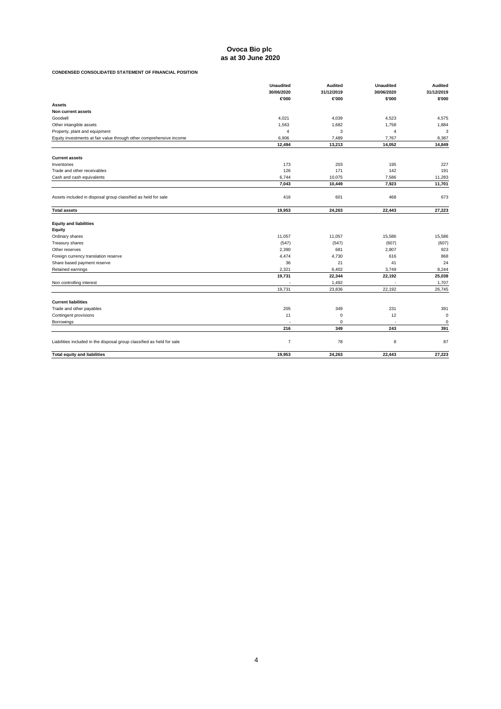# **Ovoca Bio plc as at 30 June 2020**

# **CONDENSED CONSOLIDATED STATEMENT OF FINANCIAL POSITION**

|                                                                        | <b>Unaudited</b><br>30/06/2020 | <b>Audited</b><br>31/12/2019 | <b>Unaudited</b><br>30/06/2020 | <b>Audited</b><br>31/12/2019 |
|------------------------------------------------------------------------|--------------------------------|------------------------------|--------------------------------|------------------------------|
|                                                                        | €000                           | €000                         | \$'000                         | \$'000                       |
| <b>Assets</b>                                                          |                                |                              |                                |                              |
| Non current assets                                                     |                                |                              |                                |                              |
| Goodwill                                                               | 4.021                          | 4.039                        | 4,523                          | 4,575                        |
| Other intangible assets                                                | 1,563                          | 1,682                        | 1,758                          | 1,884                        |
| Property, plant and equipment                                          | $\overline{4}$                 | 3                            | 4                              | 3                            |
| Equity investments at fair value through other comprehensive income    | 6,906                          | 7,489                        | 7,767                          | 8,387                        |
|                                                                        | 12,494                         | 13,213                       | 14,052                         | 14,849                       |
| <b>Current assets</b>                                                  |                                |                              |                                |                              |
| Inventories                                                            | 173                            | 203                          | 195                            | 227                          |
| Trade and other receivables                                            | 126                            | 171                          | 142                            | 191                          |
| Cash and cash equivalents                                              | 6,744                          | 10,075                       | 7,586                          | 11,283                       |
|                                                                        | 7,043                          | 10,449                       | 7,923                          | 11,701                       |
| Assets included in disposal group classified as held for sale          | 416                            | 601                          |                                | 673                          |
|                                                                        |                                |                              | 468                            |                              |
| <b>Total assets</b>                                                    | 19,953                         | 24,263                       | 22,443                         | 27,223                       |
| <b>Equity and liabilities</b>                                          |                                |                              |                                |                              |
| Equity                                                                 |                                |                              |                                |                              |
| Ordinary shares                                                        | 11.057                         | 11,057                       | 15,586                         | 15,586                       |
| Treasury shares                                                        | (547)                          | (547)                        | (607)                          | (607)                        |
| Other reserves                                                         | 2,390                          | 681                          | 2.807                          | 923                          |
| Foreign currency translation reserve                                   | 4,474                          | 4,730                        | 616                            | 868                          |
| Share based payment reserve                                            | 36                             | 21                           | 41                             | 24                           |
| Retained earnings                                                      | 2,321                          | 6,402                        | 3,749                          | 8,244                        |
|                                                                        | 19,731                         | 22,344                       | 22,192                         | 25,038                       |
| Non controlling interest                                               |                                | 1,492                        | ٠                              | 1,707                        |
|                                                                        | 19,731                         | 23,836                       | 22,192                         | 26,745                       |
| <b>Current liabilities</b>                                             |                                |                              |                                |                              |
| Trade and other payables                                               | 205                            | 349                          | 231                            | 391                          |
| Contingent provisions                                                  | 11                             | $\mathbf 0$                  | 12                             | $\mathbf 0$                  |
| Borrowings                                                             |                                | $\mathbf 0$                  | ٠                              | $\mathbf 0$                  |
|                                                                        | 216                            | 349                          | 243                            | 391                          |
| Liabilities included in the disposal group classified as held for sale | $\overline{7}$                 | 78                           | 8                              | 87                           |
| <b>Total equity and liabilities</b>                                    | 19.953                         | 24.263                       | 22.443                         | 27.223                       |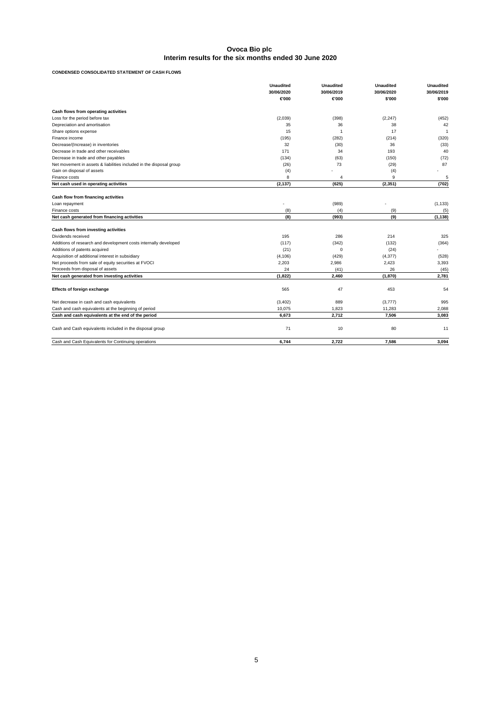**CONDENSED CONSOLIDATED STATEMENT OF CASH FLOWS**

|                                                                     | <b>Unaudited</b><br>30/06/2020<br>€000 | <b>Unaudited</b><br>30/06/2019<br>€000 | <b>Unaudited</b><br>30/06/2020<br>\$'000 | <b>Unaudited</b><br>30/06/2019<br>\$'000 |
|---------------------------------------------------------------------|----------------------------------------|----------------------------------------|------------------------------------------|------------------------------------------|
| Cash flows from operating activities                                |                                        |                                        |                                          |                                          |
| Loss for the period before tax                                      | (2,039)                                | (398)                                  | (2, 247)                                 | (452)                                    |
| Depreciation and amortisation                                       | 35                                     | 36                                     | 38                                       | 42                                       |
| Share options expense                                               | 15                                     | $\overline{1}$                         | 17                                       | $\mathbf{1}$                             |
| Finance income                                                      | (195)                                  | (282)                                  | (214)                                    | (320)                                    |
| Decrease/(Increase) in inventories                                  | 32                                     | (30)                                   | 36                                       | (33)                                     |
| Decrease in trade and other receivables                             | 171                                    | 34                                     | 193                                      | 40                                       |
| Decrease in trade and other payables                                | (134)                                  | (63)                                   | (150)                                    | (72)                                     |
| Net movement in assets & liabilities included in the disposal group | (26)                                   | 73                                     | (29)                                     | 87                                       |
| Gain on disposal of assets                                          | (4)                                    |                                        | (4)                                      |                                          |
| Finance costs                                                       | 8                                      | 4                                      | 9                                        | 5                                        |
| Net cash used in operating activities                               | (2, 137)                               | (625)                                  | (2, 351)                                 | (702)                                    |
| Cash flow from financing activities<br>Loan repayment               |                                        | (989)                                  |                                          | (1, 133)                                 |
| Finance costs                                                       | (8)                                    | (4)                                    | (9)                                      | (5)                                      |
| Net cash generated from financing activities                        | (8)                                    | (993)                                  | (9)                                      | (1, 138)                                 |
| Cash flows from investing activities                                |                                        |                                        |                                          |                                          |
| Dividends received                                                  | 195                                    | 286                                    | 214                                      | 325                                      |
| Additions of research and development costs internally developed    | (117)                                  | (342)                                  | (132)                                    | (364)                                    |
| Additions of patents acquired                                       | (21)                                   | 0                                      | (24)                                     |                                          |
| Acquisition of additional interest in subsidiary                    | (4, 106)                               | (429)                                  | (4, 377)                                 | (528)                                    |
| Net proceeds from sale of equity securities at FVOCI                | 2.203                                  | 2,986                                  | 2,423                                    | 3,393                                    |
| Proceeds from disposal of assets                                    | 24                                     | (41)                                   | 26                                       | (45)                                     |
| Net cash generated from investing activities                        | (1,822)                                | 2.460                                  | (1,870)                                  | 2,781                                    |
| Effects of foreign exchange                                         | 565                                    | 47                                     | 453                                      | 54                                       |
| Net decrease in cash and cash equivalents                           | (3,402)                                | 889                                    | (3,777)                                  | 995                                      |
| Cash and cash equivalents at the beginning of period                | 10.075                                 | 1.823                                  | 11,283                                   | 2,088                                    |
| Cash and cash equivalents at the end of the period                  | 6.673                                  | 2,712                                  | 7,506                                    | 3,083                                    |
| Cash and Cash equivalents included in the disposal group            | 71                                     | 10                                     | 80                                       | 11                                       |
| Cash and Cash Equivalents for Continuing operations                 | 6.744                                  | 2.722                                  | 7.586                                    | 3.094                                    |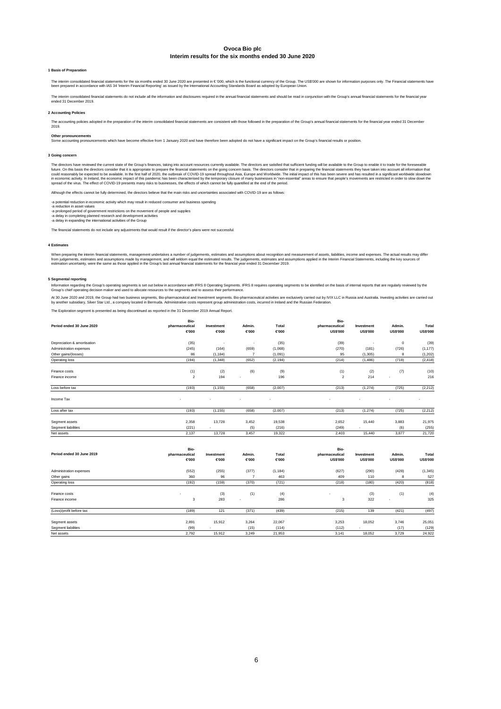#### **1 Basis of Preparation**

The interim consolidated financial statements for the six months ended 30 June 2020 are presented in € '000, which is the functional currency of the Croup. The US\$000 are shown for information purposes only. The Financial

The interim consolidated financial statements do not include all the information and disclosures required in the annual financial statements and should be read in conjunction with the Group's annual financial statements fo

## **2 Accounting Policies**

The accounting policies adopted in the preparation of the interim consolidated financial statements are consistent with those followed in the preparation of the Group's annual financial statements for the financial year en

#### **Other pronouncements**

Some accounting pronouncements which have become effective from 1 January 2020 and have therefore been adopted do not have a significant impact on the Group's financial results or position.

## **3 Going concern**

The directors have reviewed the current state of the Group's frances, taking into account resources currently available. The directors are satisfied that in preparing the financial statements here increases in the giving c

Although the effects cannot be fully determined, the directors believe that the main risks and uncertainties associated with COVID-19 are as follows:

-a potential reduction in economic activity which may result in reduced consumer and business spending -a reduction in asset values

-a prolonged period of government restrictions on the movement of people and supplies<br>-a delay in completing planned research and development activities<br>-a delay in expanding the international activities of the Group

The financial statements do not include any adjustments that would result if the director's plans were not successful.

#### **4 Estima**

When preparing the interim financial statements, management undertakes a rumber of judgements, estimates and assumptions about recognition and measurement of assets, labilities, income and expenses. The actual results may

#### **5 Segmental reporting**

Information regarding the Group's operating segments is set out below in accordance with IFRS 8 requires operating segments. IFRS 8 requires operating segments to be identified on the basis of internal reports that are reg

At 30 June 2020 and 2019, the Group had two business segments, Bio-pharmaceutical and hwestment segments. Bio-pharmaceutical activities are exclusively carried out by IVIX LLC in Russia and Australia. Investing activities

The Exploration segment is presented as being discontinued as reported in the 31 December 2019 Annual Report.

|                             | Bio-           |            |                |          | Bio-                    |                          |                 |                 |
|-----------------------------|----------------|------------|----------------|----------|-------------------------|--------------------------|-----------------|-----------------|
| Period ended 30 June 2020   | pharmaceutical | Investment | Admin.         | Total    | pharmaceutical          | Investment               | Admin.          | Total           |
|                             | €000           | €000       | €000           | €000     | <b>US\$'000</b>         | <b>US\$'000</b>          | <b>US\$'000</b> | <b>US\$'000</b> |
| Depreciation & amortisation | (35)           | ٠          | ÷,             | (35)     | (39)                    | $\overline{\phantom{a}}$ | 0               | (39)            |
| Administration expenses     | (245)          | (164)      | (659)          | (1,068)  | (270)                   | (181)                    | (726)           | (1, 177)        |
| Other gains/(losses)        | 86             | (1, 184)   | $\overline{7}$ | (1,091)  | 95                      | (1, 305)                 | 8               | (1, 202)        |
| Operating loss              | (194)          | (1, 348)   | (652)          | (2, 194) | (214)                   | (1,486)                  | (718)           | (2, 418)        |
|                             |                |            |                |          |                         |                          |                 |                 |
| Finance costs               | (1)            | (2)        | (6)            | (9)      | (1)                     | (2)                      | (7)             | (10)            |
| Finance income              | $\overline{2}$ | 194        |                | 196      | $\overline{\mathbf{2}}$ | 214                      |                 | 216             |
| Loss before tax             | (193)          | (1, 155)   | (658)          | (2,007)  | (213)                   | (1, 274)                 | (725)           | (2, 212)        |
| Income Tax                  |                |            |                |          |                         |                          |                 |                 |
| Loss after tax              | (193)          | (1, 155)   | (658)          | (2,007)  | (213)                   | (1, 274)                 | (725)           | (2, 212)        |
|                             |                |            |                |          |                         |                          |                 |                 |
| Segment assets              | 2,358          | 13,728     | 3,452          | 19,538   | 2,652                   | 15,440                   | 3,883           | 21,975          |
| Segment liabilities         | (221)          |            | (5)            | (216)    | (249)                   |                          | (6)             | (255)           |
| Net assets                  | 2,137          | 13,728     | 3,457          | 19,322   | 2,403                   | 15,440                   | 3,877           | 21,720          |
|                             |                |            |                |          |                         |                          |                 |                 |
|                             | Bio-           |            |                |          | Bio-                    |                          |                 |                 |
| Period ended 30 June 2019   | pharmaceutical | Investment | Admin.         | Total    | pharmaceutical          | Investment               | Admin.          | Total           |
|                             | €000           | €000       | €000           | €000     | <b>US\$'000</b>         | <b>US\$'000</b>          | <b>US\$'000</b> | <b>US\$'000</b> |
| Administration expenses     | (552)          | (255)      | (377)          | (1, 184) | (627)                   | (290)                    | (428)           | (1, 345)        |
| Other gains                 | 360            | 96         | $\overline{7}$ | 463      | 409                     | 110                      | 8               | 527             |
| Operating loss              | (192)          | (159)      | (370)          | (721)    | (218)                   | (180)                    | (420)           | (818)           |
|                             |                | (3)        |                |          |                         |                          | (1)             |                 |
| Finance costs               |                |            | (1)            | (4)      |                         | (3)                      |                 | (4)<br>325      |
| Finance income              | 3              | 283        |                | 286      | 3                       | 322                      |                 |                 |
| (Loss)/profit before tax    | (189)          | 121        | (371)          | (439)    | (215)                   | 139                      | (421)           | (497)           |
| Segment assets              | 2,891          | 15,912     | 3,264          | 22,067   | 3,253                   | 18,052                   | 3,746           | 25,051          |
| Segment liabilities         | (99)           |            | (15)           | (114)    | (112)                   |                          | (17)            | (129)           |
| Net assets                  | 2.792          | 15,912     | 3.249          | 21,953   | 3.141                   | 18,052                   | 3.729           | 24.922          |